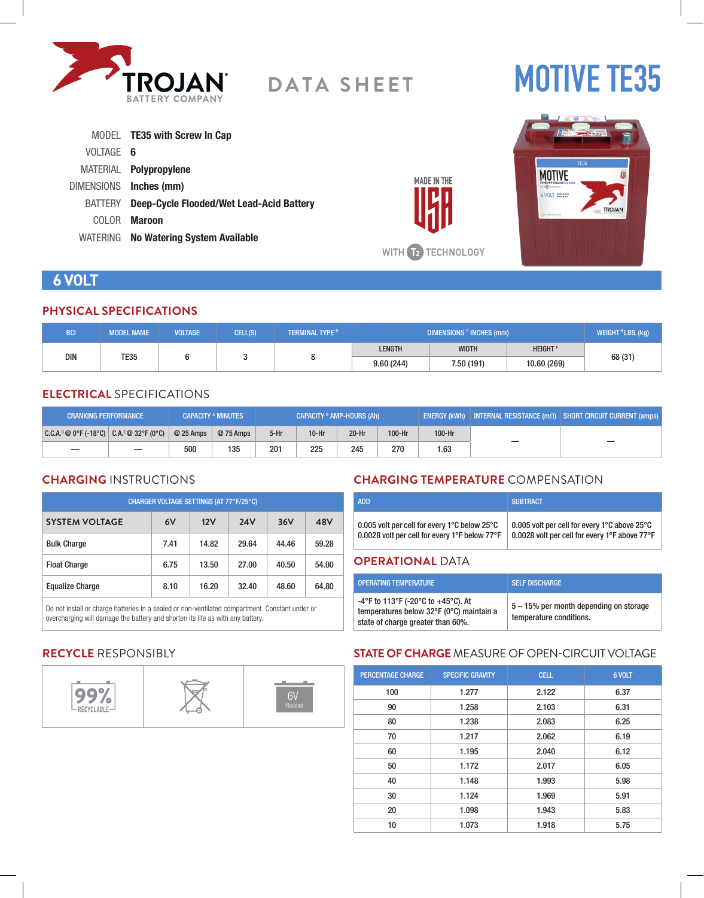

# **MOTIVE TE35**

|           | MODEL <b>TE35 with Screw In Cap</b>              |
|-----------|--------------------------------------------------|
| VOLTAGE 6 |                                                  |
|           | MATERIAL <b>Polypropylene</b>                    |
|           | DIMENSIONS Inches (mm)                           |
|           | BATTERY Deep-Cycle Flooded/Wet Lead-Acid Battery |
| COLOR -   | Maroon                                           |
|           | WATERING No Watering System Available            |



# **6 VOLT**

#### **PHYSICAL SPECIFICATIONS**

| <b>BCI.</b>               | <b>MODEL NAME</b> | <b>VOLTAGE</b> | CELL(S)   | <b>TERMINAL TYPE 6</b> | DIMENSIONS <sup>c</sup> INCHES (mm) |                            |  | WEIGHT <sup>H</sup> LBS. (kg) |
|---------------------------|-------------------|----------------|-----------|------------------------|-------------------------------------|----------------------------|--|-------------------------------|
| <b>DIN</b><br><b>TE35</b> |                   |                |           | <b>LENGTH</b>          | <b>WIDTH</b>                        | <b>HEIGHT</b> <sup>F</sup> |  |                               |
|                           |                   |                | 9.60(244) | 7.50 (191)             | 10.60 (269)                         | 68 (31)                    |  |                               |

#### **ELECTRICAL** SPECIFICATIONS

| <b>CRANKING PERFORMANCE</b>               |                          |            | <b>CAPACITY A MINUTES</b> | <b>CAPACITY <sup>B</sup> AMP-HOURS (Ah)</b> |         |         | 「ENERGY (kWh)   INTERNAL RESISTANCE (mΩ)   SHORT CIRCUIT CURRENT (amps) |        |  |
|-------------------------------------------|--------------------------|------------|---------------------------|---------------------------------------------|---------|---------|-------------------------------------------------------------------------|--------|--|
| $ C.C.A.^0@0°F(-18°C)  C.A.^E@32°F(0°C) $ |                          | $@25$ Amps | @ 75 Amps                 | $5-Hr$                                      | $10-Hr$ | $20-Hr$ | 100-Hr                                                                  | 100-Hr |  |
|                                           | $\overline{\phantom{0}}$ | 500        | 135                       | 201                                         | 225     | 245     | 270                                                                     | 1.63   |  |

# **CHARGING** INSTRUCTIONS

| CHARGER VOLTAGE SETTINGS (AT 77°F/25°C) |      |       |            |       |       |  |  |
|-----------------------------------------|------|-------|------------|-------|-------|--|--|
| <b>SYSTEM VOLTAGE</b>                   | 6V   | 12V   | <b>24V</b> | 36V   | 48V   |  |  |
| <b>Bulk Charge</b>                      | 7.41 | 14.82 | 29.64      | 44.46 | 59.28 |  |  |
| <b>Float Charge</b>                     | 6.75 | 13.50 | 27.00      | 40.50 | 54.00 |  |  |
| <b>Equalize Charge</b>                  | 8.10 | 16.20 | 32.40      | 48.60 | 64.80 |  |  |

Do not install or charge batteries in a sealed or non-ventilated compartment. Constant under or overcharging will damage the battery and shorten its life as with any battery.

# **CHARGING TEMPERATURE** COMPENSATION

| 0.005 volt per cell for every 1°C below 25°C  | 0.005 volt per cell for every 1°C above 25°C  |
|-----------------------------------------------|-----------------------------------------------|
| 0.0028 volt per cell for every 1°F below 77°F | 0.0028 volt per cell for every 1°F above 77°F |

#### **OPERATIONAL** DATA

**MADE IN THE** 

WITH **12** TECHNOLOGY

| OPFRATING TEMPERATURE                                                                                               | <b>SELF DISCHARGE</b>                                             |
|---------------------------------------------------------------------------------------------------------------------|-------------------------------------------------------------------|
| -4°F to 113°F (-20°C to +45°C). At<br>temperatures below 32°F (0°C) maintain a<br>state of charge greater than 60%. | 5 – 15% per month depending on storage<br>temperature conditions. |

# **RECYCLE** RESPONSIBLY



# **STATE OF CHARGE** MEASURE OF OPEN-CIRCUIT VOLTAGE

| <b>PERCENTAGE CHARGE</b> | <b>SPECIFIC GRAVITY</b> | <b>CELL</b> | 6 VOLT |
|--------------------------|-------------------------|-------------|--------|
| 100                      | 1.277                   | 2.122       | 6.37   |
| 90                       | 1.258                   | 2.103       | 6.31   |
| 80                       | 1.238                   | 2.083       | 6.25   |
| 70                       | 1.217                   | 2.062       | 6.19   |
| 60                       | 1.195                   | 2.040       | 6.12   |
| 50                       | 1.172                   | 2.017       | 6.05   |
| 40                       | 1.148                   | 1.993       | 5.98   |
| 30                       | 1.124                   | 1.969       | 5.91   |
| 20                       | 1.098                   | 1.943       | 5.83   |
| 10                       | 1.073                   | 1.918       | 5.75   |